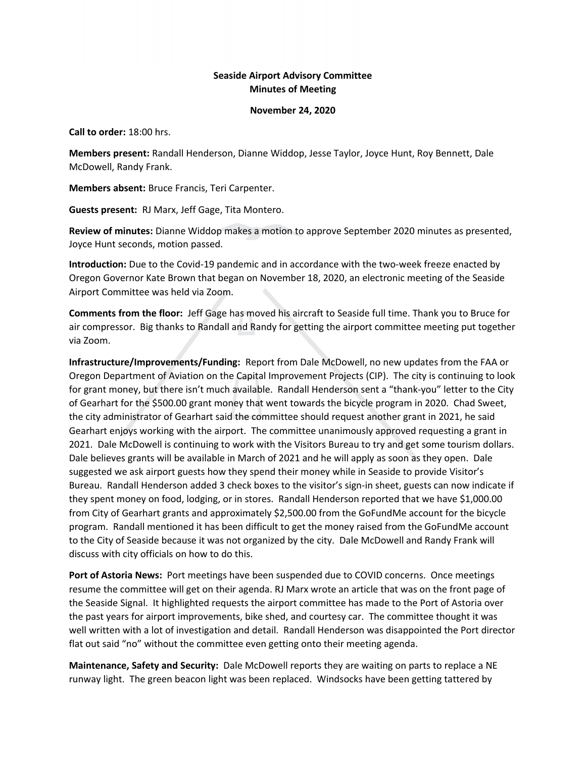## **Seaside Airport Advisory Committee Minutes of Meeting**

## **November 24, 2020**

**Call to order:** 18:00 hrs.

**Members present:** Randall Henderson, Dianne Widdop, Jesse Taylor, Joyce Hunt, Roy Bennett, Dale McDowell, Randy Frank.

**Members absent:** Bruce Francis, Teri Carpenter.

**Guests present:** RJ Marx, Jeff Gage, Tita Montero.

**Review of minutes:** Dianne Widdop makes a motion to approve September 2020 minutes as presented, Joyce Hunt seconds, motion passed.

**Introduction:** Due to the Covid-19 pandemic and in accordance with the two-week freeze enacted by Oregon Governor Kate Brown that began on November 18, 2020, an electronic meeting of the Seaside Airport Committee was held via Zoom.

**Comments from the floor:** Jeff Gage has moved his aircraft to Seaside full time. Thank you to Bruce for air compressor. Big thanks to Randall and Randy for getting the airport committee meeting put together via Zoom.

**Infrastructure/Improvements/Funding:** Report from Dale McDowell, no new updates from the FAA or Oregon Department of Aviation on the Capital Improvement Projects (CIP). The city is continuing to look for grant money, but there isn't much available. Randall Henderson sent a "thank-you" letter to the City of Gearhart for the \$500.00 grant money that went towards the bicycle program in 2020. Chad Sweet, the city administrator of Gearhart said the committee should request another grant in 2021, he said Gearhart enjoys working with the airport. The committee unanimously approved requesting a grant in 2021. Dale McDowell is continuing to work with the Visitors Bureau to try and get some tourism dollars. Dale believes grants will be available in March of 2021 and he will apply as soon as they open. Dale suggested we ask airport guests how they spend their money while in Seaside to provide Visitor's Bureau. Randall Henderson added 3 check boxes to the visitor's sign-in sheet, guests can now indicate if they spent money on food, lodging, or in stores. Randall Henderson reported that we have \$1,000.00 from City of Gearhart grants and approximately \$2,500.00 from the GoFundMe account for the bicycle program. Randall mentioned it has been difficult to get the money raised from the GoFundMe account to the City of Seaside because it was not organized by the city. Dale McDowell and Randy Frank will discuss with city officials on how to do this.

**Port of Astoria News:** Port meetings have been suspended due to COVID concerns. Once meetings resume the committee will get on their agenda. RJ Marx wrote an article that was on the front page of the Seaside Signal. It highlighted requests the airport committee has made to the Port of Astoria over the past years for airport improvements, bike shed, and courtesy car. The committee thought it was well written with a lot of investigation and detail. Randall Henderson was disappointed the Port director flat out said "no" without the committee even getting onto their meeting agenda.

**Maintenance, Safety and Security:** Dale McDowell reports they are waiting on parts to replace a NE runway light. The green beacon light was been replaced. Windsocks have been getting tattered by